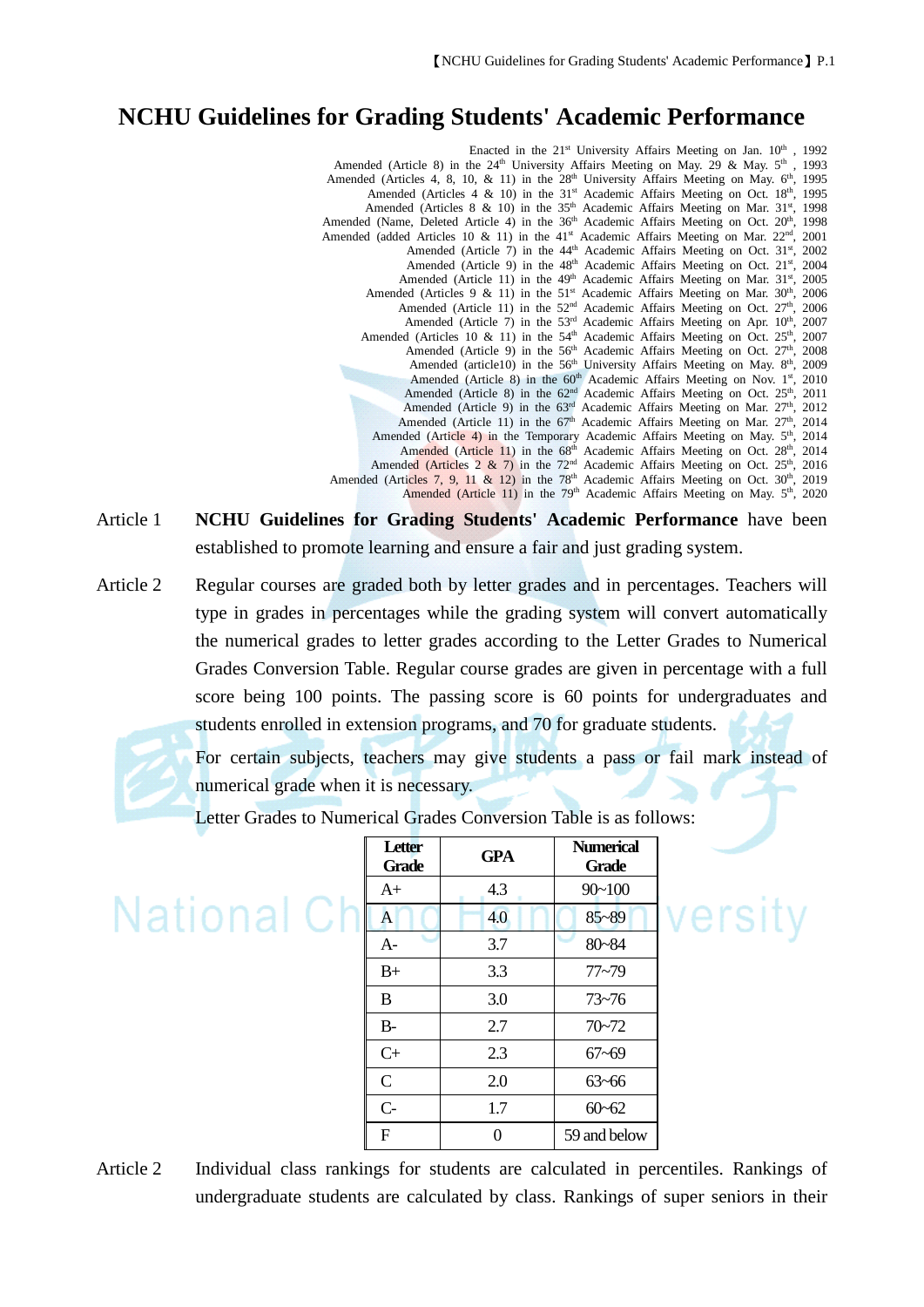## **NCHU Guidelines for Grading Students' Academic Performance**

Enacted in the 21<sup>st</sup> University Affairs Meeting on Jan. 10<sup>th</sup>, 1992 Amended (Article 8) in the  $24<sup>th</sup>$  University Affairs Meeting on May. 29 & May.  $5<sup>th</sup>$ , 1993 Amended (Articles 4, 8, 10, & 11) in the 28<sup>th</sup> University Affairs Meeting on May.  $6<sup>th</sup>$ , 1995 Amended (Articles 4 & 10) in the 31<sup>st</sup> Academic Affairs Meeting on Oct. 18<sup>th</sup>, 1995 Amended (Articles 8 & 10) in the  $35<sup>th</sup>$  Academic Affairs Meeting on Mar.  $31<sup>st</sup>$ , 1998 Amended (Name, Deleted Article 4) in the  $36<sup>th</sup>$  Academic Affairs Meeting on Oct.  $20<sup>th</sup>$ , 1998 Amended (added Articles 10 & 11) in the  $41<sup>st</sup>$  Academic Affairs Meeting on Mar.  $22<sup>nd</sup>$ , 2001 Amended (Article 7) in the 44<sup>th</sup> Academic Affairs Meeting on Oct. 31<sup>st</sup>, 2002 Amended (Article 9) in the 48<sup>th</sup> Academic Affairs Meeting on Oct. 21<sup>st</sup>, 2004 Amended (Article 11) in the 49<sup>th</sup> Academic Affairs Meeting on Mar. 31<sup>st</sup>, 2005 Amended (Articles 9 & 11) in the  $51<sup>st</sup>$  Academic Affairs Meeting on Mar.  $30<sup>th</sup>$ ,  $2006$ Amended (Article 11) in the  $52<sup>nd</sup>$  Academic Affairs Meeting on Oct.  $27<sup>th</sup>$ ,  $2006$ Amended (Article 7) in the 53<sup>rd</sup> Academic Affairs Meeting on Apr. 10<sup>th</sup>, 2007 Amended (Articles 10 & 11) in the 54<sup>th</sup> Academic Affairs Meeting on Oct. 25<sup>th</sup>, 2007 Amended (Article 9) in the 56<sup>th</sup> Academic Affairs Meeting on Oct. 27<sup>th</sup>, 2008 Amended (article10) in the 56<sup>th</sup> University Affairs Meeting on May. 8<sup>th</sup>, 2009 Amended (Article 8) in the 60<sup>th</sup> Academic Affairs Meeting on Nov. 1<sup>st</sup>, 2010 Amended (Article 8) in the  $62<sup>nd</sup>$  Academic Affairs Meeting on Oct.  $25<sup>th</sup>$ , 2011 Amended (Article 9) in the 63<sup>rd</sup> Academic Affairs Meeting on Mar. 27<sup>th</sup>, 2012 Amended (Article 11) in the  $67<sup>th</sup>$  Academic Affairs Meeting on Mar.  $27<sup>th</sup>$ ,  $2014$ Amended (Article 4) in the Temporary Academic Affairs Meeting on May. 5<sup>th</sup>, 2014 Amended (Article 11) in the 68<sup>th</sup> Academic Affairs Meeting on Oct. 28<sup>th</sup>, 2014 Amended (Articles  $2 \& 7$ ) in the  $72<sup>nd</sup>$  Academic Affairs Meeting on Oct.  $25<sup>th</sup>$ , 2016 Amended (Articles 7, 9, 11 & 12) in the  $78<sup>th</sup>$  Academic Affairs Meeting on Oct.  $30<sup>th</sup>$ , 2019 Amended (Article 11) in the 79<sup>th</sup> Academic Affairs Meeting on May. 5<sup>th</sup>, 2020

- Article 1 **NCHU Guidelines for Grading Students' Academic Performance** have been established to promote learning and ensure a fair and just grading system.
- Article 2 Regular courses are graded both by letter grades and in percentages. Teachers will type in grades in percentages while the grading system will convert automatically the numerical grades to letter grades according to the Letter Grades to Numerical Grades Conversion Table. Regular course grades are given in percentage with a full score being 100 points. The passing score is 60 points for undergraduates and students enrolled in extension programs, and 70 for graduate students.

For certain subjects, teachers may give students a pass or fail mark instead of numerical grade when it is necessary.

Letter Grades to Numerical Grades Conversion Table is as follows:

| $90 - 100$<br>4.3<br>$A+$<br>National Ch<br>$85 - 89$<br>$\mathbf{A}$<br>4.0<br>80~84<br>3.7<br>$A-$<br>3.3<br>$77 - 79$<br>$B+$<br>3.0<br>B<br>$73 - 76$<br>$70 - 72$<br>$B-$<br>2.7<br>$C+$<br>2.3<br>$67 - 69$<br>$\mathsf{C}$<br>2.0<br>$63 - 66$<br>$C-$<br>$60 - 62$<br>1.7<br>$\boldsymbol{\mathrm{F}}$<br>59 and below<br>$\theta$ |  | <b>Letter</b><br><b>Grade</b> | <b>GPA</b> | <b>Numerical</b><br><b>Grade</b> |
|--------------------------------------------------------------------------------------------------------------------------------------------------------------------------------------------------------------------------------------------------------------------------------------------------------------------------------------------|--|-------------------------------|------------|----------------------------------|
|                                                                                                                                                                                                                                                                                                                                            |  |                               |            |                                  |
|                                                                                                                                                                                                                                                                                                                                            |  |                               |            |                                  |
|                                                                                                                                                                                                                                                                                                                                            |  |                               |            |                                  |
|                                                                                                                                                                                                                                                                                                                                            |  |                               |            |                                  |
|                                                                                                                                                                                                                                                                                                                                            |  |                               |            |                                  |
|                                                                                                                                                                                                                                                                                                                                            |  |                               |            |                                  |
|                                                                                                                                                                                                                                                                                                                                            |  |                               |            |                                  |
|                                                                                                                                                                                                                                                                                                                                            |  |                               |            |                                  |
|                                                                                                                                                                                                                                                                                                                                            |  |                               |            |                                  |
|                                                                                                                                                                                                                                                                                                                                            |  |                               |            |                                  |

versity

Article 2 Individual class rankings for students are calculated in percentiles. Rankings of undergraduate students are calculated by class. Rankings of super seniors in their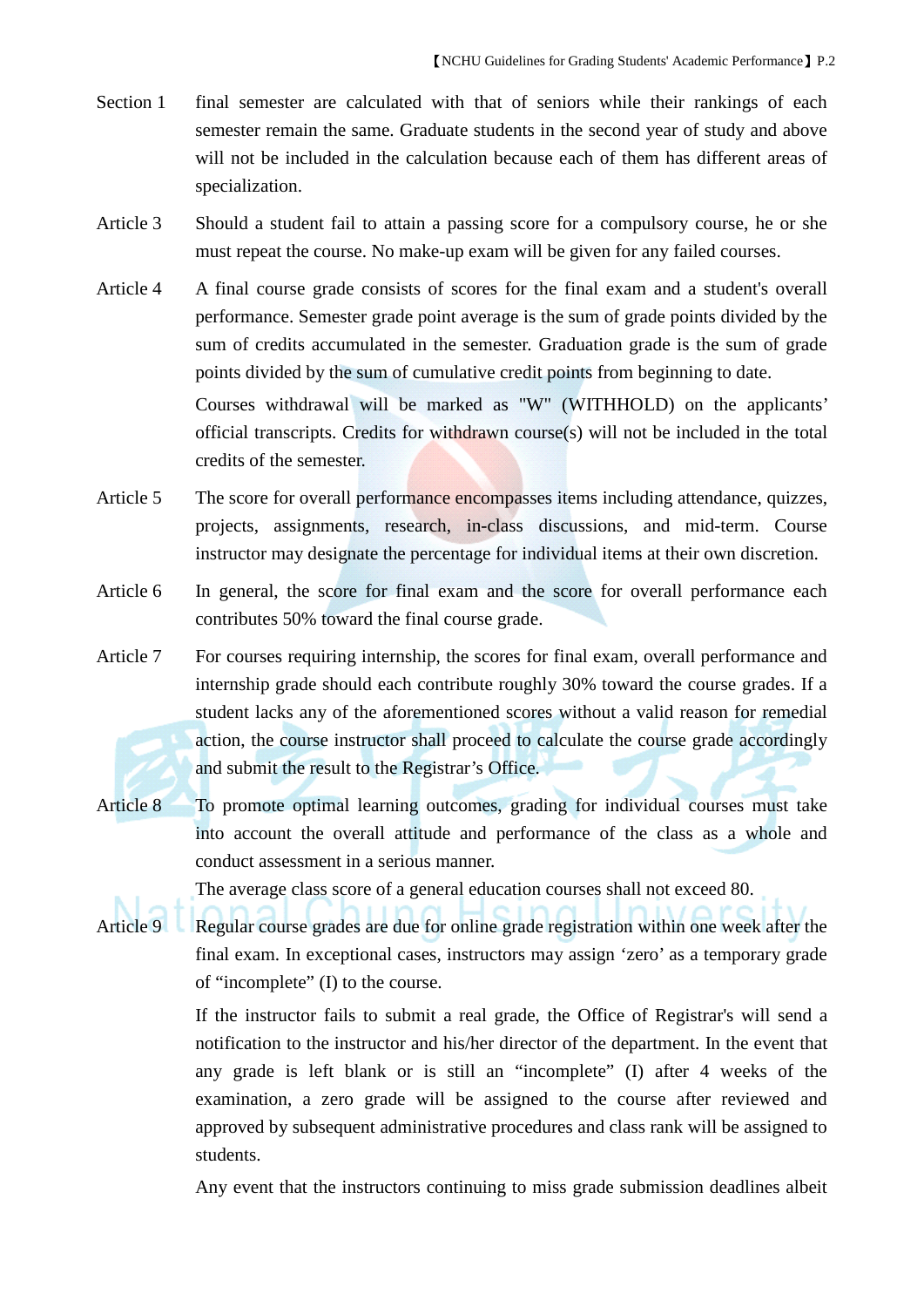- Section 1 final semester are calculated with that of seniors while their rankings of each semester remain the same. Graduate students in the second year of study and above will not be included in the calculation because each of them has different areas of specialization.
- Article 3 Should a student fail to attain a passing score for a compulsory course, he or she must repeat the course. No make-up exam will be given for any failed courses.
- Article 4 A final course grade consists of scores for the final exam and a student's overall performance. Semester grade point average is the sum of grade points divided by the sum of credits accumulated in the semester. Graduation grade is the sum of grade points divided by the sum of cumulative credit points from beginning to date.

Courses withdrawal will be marked as "W" (WITHHOLD) on the applicants' official transcripts. Credits for withdrawn course(s) will not be included in the total credits of the semester.

- Article 5 The score for overall performance encompasses items including attendance, quizzes, projects, assignments, research, in-class discussions, and mid-term. Course instructor may designate the percentage for individual items at their own discretion.
- Article 6 In general, the score for final exam and the score for overall performance each contributes 50% toward the final course grade.
- Article 7 For courses requiring internship, the scores for final exam, overall performance and internship grade should each contribute roughly 30% toward the course grades. If a student lacks any of the aforementioned scores without a valid reason for remedial action, the course instructor shall proceed to calculate the course grade accordingly and submit the result to the Registrar's Office.
- Article 8 To promote optimal learning outcomes, grading for individual courses must take into account the overall attitude and performance of the class as a whole and conduct assessment in a serious manner.

The average class score of a general education courses shall not exceed 80.

Article 9 Regular course grades are due for online grade registration within one week after the final exam. In exceptional cases, instructors may assign 'zero' as a temporary grade of "incomplete" (I) to the course.

> If the instructor fails to submit a real grade, the Office of Registrar's will send a notification to the instructor and his/her director of the department. In the event that any grade is left blank or is still an "incomplete" (I) after 4 weeks of the examination, a zero grade will be assigned to the course after reviewed and approved by subsequent administrative procedures and class rank will be assigned to students.

> Any event that the instructors continuing to miss grade submission deadlines albeit